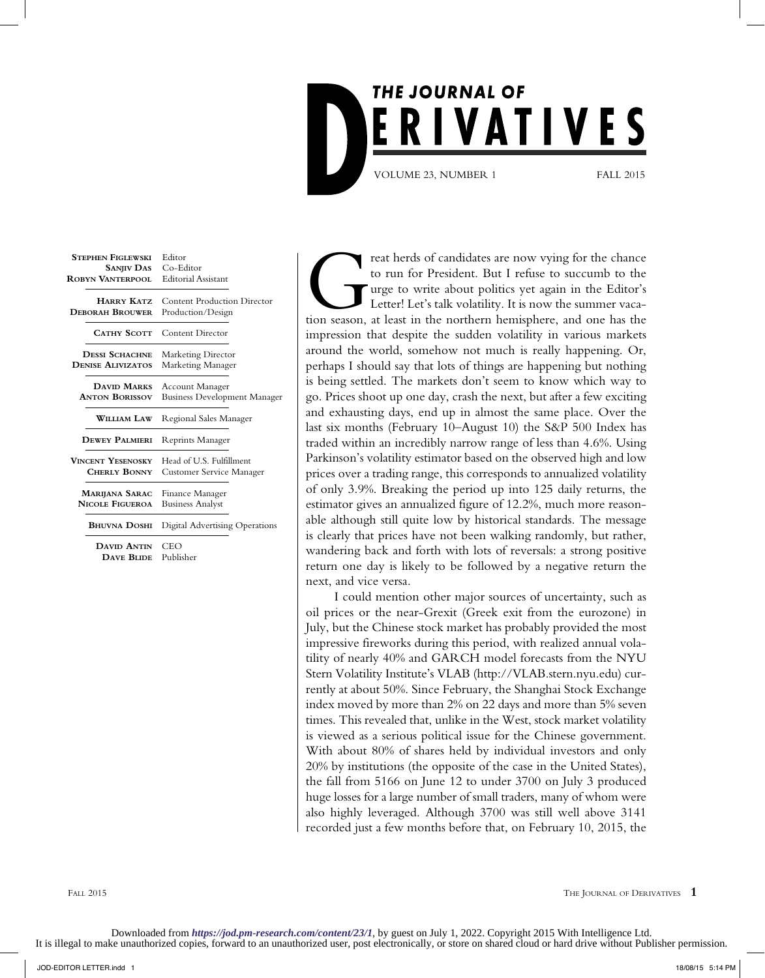

| Editor<br>Co-Editor<br><b>SANJIV DAS</b><br><b>Editorial Assistant</b>                                                                                                                                                                                                                                                                                                                      |
|---------------------------------------------------------------------------------------------------------------------------------------------------------------------------------------------------------------------------------------------------------------------------------------------------------------------------------------------------------------------------------------------|
| <b>Content Production Director</b><br>Production/Design                                                                                                                                                                                                                                                                                                                                     |
| <b>Content Director</b>                                                                                                                                                                                                                                                                                                                                                                     |
| Marketing Director<br>Marketing Manager                                                                                                                                                                                                                                                                                                                                                     |
| <b>Account Manager</b><br><b>Business Development Manager</b>                                                                                                                                                                                                                                                                                                                               |
| Regional Sales Manager                                                                                                                                                                                                                                                                                                                                                                      |
| Reprints Manager                                                                                                                                                                                                                                                                                                                                                                            |
| Head of U.S. Fulfillment<br>Customer Service Manager                                                                                                                                                                                                                                                                                                                                        |
| Finance Manager<br><b>Business Analyst</b>                                                                                                                                                                                                                                                                                                                                                  |
| <b>Digital Advertising Operations</b>                                                                                                                                                                                                                                                                                                                                                       |
| CEO<br>Publisher<br><b>DAVE BLIDE</b>                                                                                                                                                                                                                                                                                                                                                       |
| <b>ROBYN VANTERPOOL</b><br><b>HARRY KATZ</b><br><b>DEBORAH BROUWER</b><br><b>CATHY SCOTT</b><br><b>DESSI SCHACHNE</b><br><b>DENISE ALIVIZATOS</b><br>DAVID MARKS<br><b>ANTON BORISSOV</b><br><b>WILLIAM LAW</b><br><b>DEWEY PALMIERI</b><br><b>VINCENT YESENOSKY</b><br><b>CHERLY BONNY</b><br><b>MARIJANA SARAC</b><br><b>NICOLE FIGUEROA</b><br><b>BHUVNA DOSHI</b><br><b>DAVID ANTIN</b> |

reat herds of candidates are now vying for the chance to run for President. But I refuse to succumb to the urge to write about politics yet again in the Editor's Letter! Let's talk volatility. It is now the summer vacation to run for President. But I refuse to succumb to the urge to write about politics yet again in the Editor's Letter! Let's talk volatility. It is now the summer vacaimpression that despite the sudden volatility in various markets around the world, somehow not much is really happening. Or, perhaps I should say that lots of things are happening but nothing is being settled. The markets don't seem to know which way to go. Prices shoot up one day, crash the next, but after a few exciting and exhausting days, end up in almost the same place. Over the last six months (February 10–August 10) the S&P 500 Index has traded within an incredibly narrow range of less than 4.6%. Using Parkinson's volatility estimator based on the observed high and low prices over a trading range, this corresponds to annualized volatility of only 3.9%. Breaking the period up into 125 daily returns, the estimator gives an annualized figure of 12.2%, much more reasonable although still quite low by historical standards. The message is clearly that prices have not been walking randomly, but rather, wandering back and forth with lots of reversals: a strong positive return one day is likely to be followed by a negative return the next, and vice versa.

I could mention other major sources of uncertainty, such as oil prices or the near-Grexit (Greek exit from the eurozone) in July, but the Chinese stock market has probably provided the most impressive fireworks during this period, with realized annual volatility of nearly 40% and GARCH model forecasts from the NYU Stern Volatility Institute's VLAB (http://VLAB.stern.nyu.edu) currently at about 50%. Since February, the Shanghai Stock Exchange index moved by more than 2% on 22 days and more than 5% seven times. This revealed that, unlike in the West, stock market volatility is viewed as a serious political issue for the Chinese government. With about 80% of shares held by individual investors and only 20% by institutions (the opposite of the case in the United States), the fall from 5166 on June 12 to under 3700 on July 3 produced huge losses for a large number of small traders, many of whom were also highly leveraged. Although 3700 was still well above 3141 recorded just a few months before that, on February 10, 2015, the

FALL 2015 **THE JOURNAL OF DERIVATIVES 1**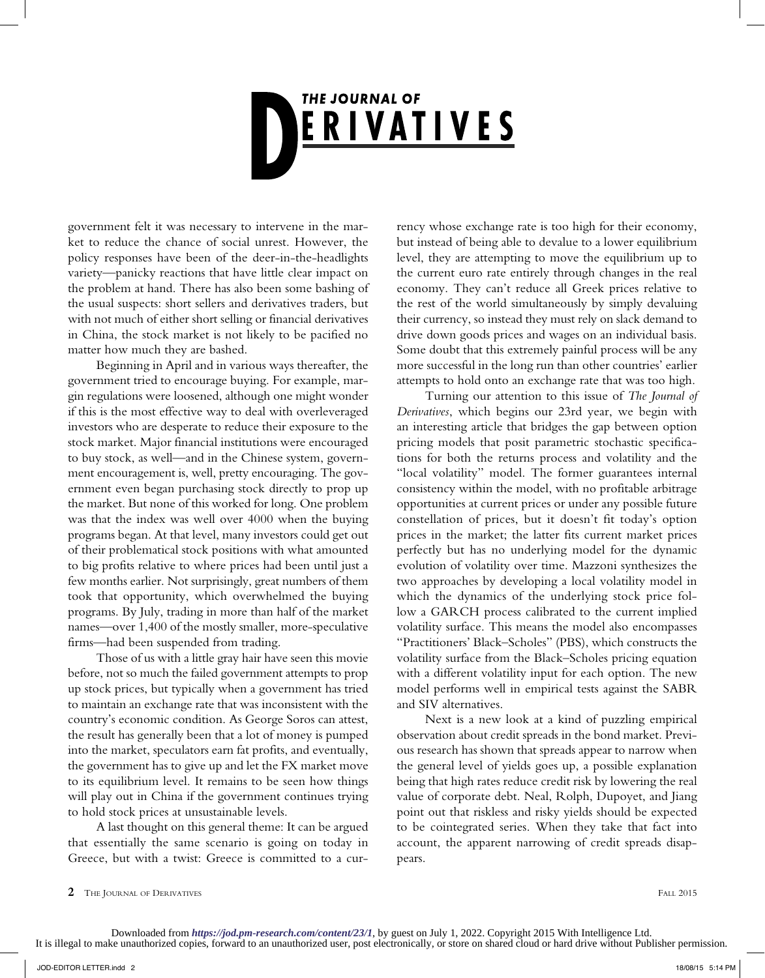## **THE JOURNAL OF** ERIVATIVES

government felt it was necessary to intervene in the market to reduce the chance of social unrest. However, the policy responses have been of the deer-in-the-headlights variety—panicky reactions that have little clear impact on the problem at hand. There has also been some bashing of the usual suspects: short sellers and derivatives traders, but with not much of either short selling or financial derivatives in China, the stock market is not likely to be pacified no matter how much they are bashed.

Beginning in April and in various ways thereafter, the government tried to encourage buying. For example, margin regulations were loosened, although one might wonder if this is the most effective way to deal with overleveraged investors who are desperate to reduce their exposure to the stock market. Major financial institutions were encouraged to buy stock, as well—and in the Chinese system, government encouragement is, well, pretty encouraging. The government even began purchasing stock directly to prop up the market. But none of this worked for long. One problem was that the index was well over 4000 when the buying programs began. At that level, many investors could get out of their problematical stock positions with what amounted to big profits relative to where prices had been until just a few months earlier. Not surprisingly, great numbers of them took that opportunity, which overwhelmed the buying programs. By July, trading in more than half of the market names—over 1,400 of the mostly smaller, more-speculative firms—had been suspended from trading.

Those of us with a little gray hair have seen this movie before, not so much the failed government attempts to prop up stock prices, but typically when a government has tried to maintain an exchange rate that was inconsistent with the country's economic condition. As George Soros can attest, the result has generally been that a lot of money is pumped into the market, speculators earn fat profits, and eventually, the government has to give up and let the FX market move to its equilibrium level. It remains to be seen how things will play out in China if the government continues trying to hold stock prices at unsustainable levels.

A last thought on this general theme: It can be argued that essentially the same scenario is going on today in Greece, but with a twist: Greece is committed to a currency whose exchange rate is too high for their economy, but instead of being able to devalue to a lower equilibrium level, they are attempting to move the equilibrium up to the current euro rate entirely through changes in the real economy. They can't reduce all Greek prices relative to the rest of the world simultaneously by simply devaluing their currency, so instead they must rely on slack demand to drive down goods prices and wages on an individual basis. Some doubt that this extremely painful process will be any more successful in the long run than other countries' earlier attempts to hold onto an exchange rate that was too high.

Turning our attention to this issue of *The Journal of Derivatives*, which begins our 23rd year, we begin with an interesting article that bridges the gap between option pricing models that posit parametric stochastic specifications for both the returns process and volatility and the "local volatility" model. The former guarantees internal consistency within the model, with no profitable arbitrage opportunities at current prices or under any possible future constellation of prices, but it doesn't fit today's option prices in the market; the latter fits current market prices perfectly but has no underlying model for the dynamic evolution of volatility over time. Mazzoni synthesizes the two approaches by developing a local volatility model in which the dynamics of the underlying stock price follow a GARCH process calibrated to the current implied volatility surface. This means the model also encompasses "Practitioners' Black–Scholes" (PBS), which constructs the volatility surface from the Black–Scholes pricing equation with a different volatility input for each option. The new model performs well in empirical tests against the SABR and SIV alternatives.

Next is a new look at a kind of puzzling empirical observation about credit spreads in the bond market. Previous research has shown that spreads appear to narrow when the general level of yields goes up, a possible explanation being that high rates reduce credit risk by lowering the real value of corporate debt. Neal, Rolph, Dupoyet, and Jiang point out that riskless and risky yields should be expected to be cointegrated series. When they take that fact into account, the apparent narrowing of credit spreads disappears.

**<sup>2</sup>** THE JOURNAL OF DERIVATIVES FALL 2015